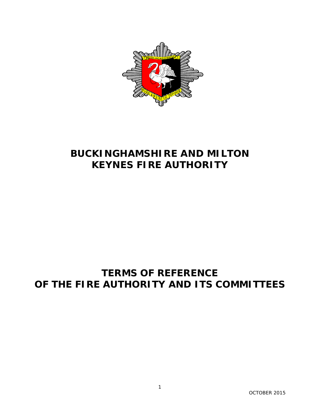

# **BUCKINGHAMSHIRE AND MILTON KEYNES FIRE AUTHORITY**

# **TERMS OF REFERENCE OF THE FIRE AUTHORITY AND ITS COMMITTEES**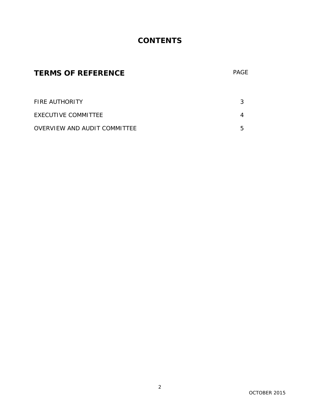## **CONTENTS**

## **TERMS OF REFERENCE** PAGE

| <b>FIRE AUTHORITY</b>        |  |
|------------------------------|--|
| <b>FXFCUTIVE COMMITTEF</b>   |  |
| OVERVIEW AND AUDIT COMMITTEE |  |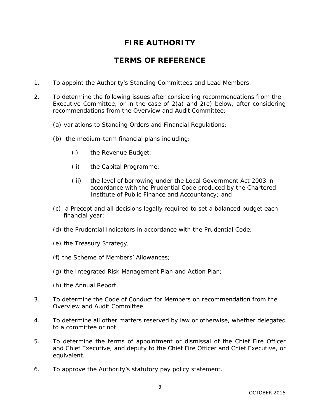## **FIRE AUTHORITY**

### **TERMS OF REFERENCE**

- 1. To appoint the Authority's Standing Committees and Lead Members.
- 2. To determine the following issues after considering recommendations from the Executive Committee, or in the case of 2(a) and 2(e) below, after considering recommendations from the Overview and Audit Committee:
	- (a) variations to Standing Orders and Financial Regulations;
	- (b) the medium-term financial plans including:
		- (i) the Revenue Budget;
		- (ii) the Capital Programme;
		- (iii) the level of borrowing under the Local Government Act 2003 in accordance with the Prudential Code produced by the Chartered Institute of Public Finance and Accountancy; and
	- (c) a Precept and all decisions legally required to set a balanced budget each financial year;
	- (d) the Prudential Indicators in accordance with the Prudential Code;
	- (e) the Treasury Strategy;
	- (f) the Scheme of Members' Allowances;
	- (g) the Integrated Risk Management Plan and Action Plan;
	- (h) the Annual Report.
- 3. To determine the Code of Conduct for Members on recommendation from the Overview and Audit Committee.
- 4. To determine all other matters reserved by law or otherwise, whether delegated to a committee or not.
- 5. To determine the terms of appointment or dismissal of the Chief Fire Officer and Chief Executive, and deputy to the Chief Fire Officer and Chief Executive, or equivalent.
- 6. To approve the Authority's statutory pay policy statement.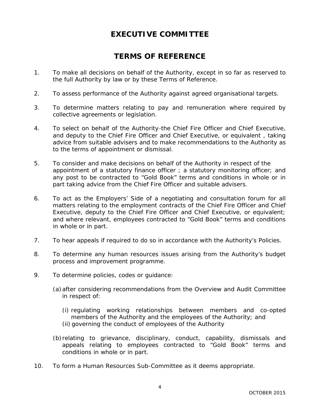### **EXECUTIVE COMMITTEE**

### **TERMS OF REFERENCE**

- 1. To make all decisions on behalf of the Authority, except in so far as reserved to the full Authority by law or by these Terms of Reference.
- 2. To assess performance of the Authority against agreed organisational targets.
- 3. To determine matters relating to pay and remuneration where required by collective agreements or legislation.
- 4. To select on behalf of the Authority-the Chief Fire Officer and Chief Executive, and deputy to the Chief Fire Officer and Chief Executive, or equivalent , taking advice from suitable advisers and to make recommendations to the Authority as to the terms of appointment or dismissal.
- 5. To consider and make decisions on behalf of the Authority in respect of the appointment of a statutory finance officer ; a statutory monitoring officer; and any post to be contracted to "Gold Book" terms and conditions in whole or in part taking advice from the Chief Fire Officer and suitable advisers.
- 6. To act as the Employers' Side of a negotiating and consultation forum for all matters relating to the employment contracts of the Chief Fire Officer and Chief Executive, deputy to the Chief Fire Officer and Chief Executive, or equivalent; and where relevant, employees contracted to "Gold Book" terms and conditions in whole or in part.
- 7. To hear appeals if required to do so in accordance with the Authority's Policies.
- 8. To determine any human resources issues arising from the Authority's budget process and improvement programme.
- 9. To determine policies, codes or guidance:
	- (a)after considering recommendations from the Overview and Audit Committee in respect of:
		- (i) regulating working relationships between members and co-opted members of the Authority and the employees of the Authority; and (ii) governing the conduct of employees of the Authority
	- (b)relating to grievance, disciplinary, conduct, capability, dismissals and appeals relating to employees contracted to "Gold Book" terms and conditions in whole or in part.
- 10. To form a Human Resources Sub-Committee as it deems appropriate.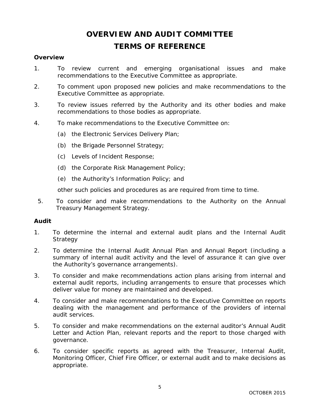# **OVERVIEW AND AUDIT COMMITTEE TERMS OF REFERENCE**

### **Overview**

- 1. To review current and emerging organisational issues and make recommendations to the Executive Committee as appropriate.
- 2. To comment upon proposed new policies and make recommendations to the Executive Committee as appropriate.
- 3. To review issues referred by the Authority and its other bodies and make recommendations to those bodies as appropriate.
- 4. To make recommendations to the Executive Committee on:
	- (a) the Electronic Services Delivery Plan;
	- (b) the Brigade Personnel Strategy;
	- (c) Levels of Incident Response;
	- (d) the Corporate Risk Management Policy;
	- (e) the Authority's Information Policy; and

other such policies and procedures as are required from time to time.

5. To consider and make recommendations to the Authority on the Annual Treasury Management Strategy.

### **Audit**

- 1. To determine the internal and external audit plans and the Internal Audit **Strategy**
- 2. To determine the Internal Audit Annual Plan and Annual Report (including a summary of internal audit activity and the level of assurance it can give over the Authority's governance arrangements).
- 3. To consider and make recommendations action plans arising from internal and external audit reports, including arrangements to ensure that processes which deliver value for money are maintained and developed.
- 4. To consider and make recommendations to the Executive Committee on reports dealing with the management and performance of the providers of internal audit services.
- 5. To consider and make recommendations on the external auditor's Annual Audit Letter and Action Plan, relevant reports and the report to those charged with governance.
- 6. To consider specific reports as agreed with the Treasurer, Internal Audit, Monitoring Officer, Chief Fire Officer, or external audit and to make decisions as appropriate.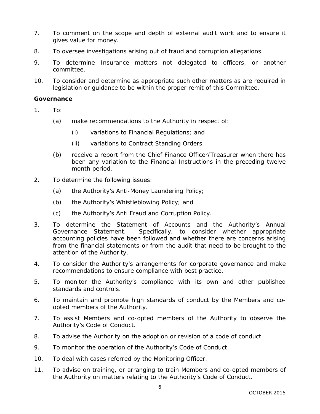- 7. To comment on the scope and depth of external audit work and to ensure it gives value for money.
- 8. To oversee investigations arising out of fraud and corruption allegations.
- 9. To determine Insurance matters not delegated to officers, or another committee.
- 10. To consider and determine as appropriate such other matters as are required in legislation or guidance to be within the proper remit of this Committee.

### **Governance**

- 1. To:
	- (a) make recommendations to the Authority in respect of:
		- (i) variations to Financial Regulations; and
		- (ii) variations to Contract Standing Orders.
	- (b) receive a report from the Chief Finance Officer/Treasurer when there has been any variation to the Financial Instructions in the preceding twelve month period.
- 2. To determine the following issues:
	- (a) the Authority's Anti-Money Laundering Policy;
	- (b) the Authority's Whistleblowing Policy; and
	- (c) the Authority's Anti Fraud and Corruption Policy.
- 3. To determine the Statement of Accounts and the Authority's Annual Governance Statement. Specifically, to consider whether appropriate accounting policies have been followed and whether there are concerns arising from the financial statements or from the audit that need to be brought to the attention of the Authority.
- 4. To consider the Authority's arrangements for corporate governance and make recommendations to ensure compliance with best practice.
- 5. To monitor the Authority's compliance with its own and other published standards and controls.
- 6. To maintain and promote high standards of conduct by the Members and coopted members of the Authority.
- 7. To assist Members and co-opted members of the Authority to observe the Authority's Code of Conduct.
- 8. To advise the Authority on the adoption or revision of a code of conduct.
- 9. To monitor the operation of the Authority's Code of Conduct
- 10. To deal with cases referred by the Monitoring Officer.
- 11. To advise on training, or arranging to train Members and co-opted members of the Authority on matters relating to the Authority's Code of Conduct.